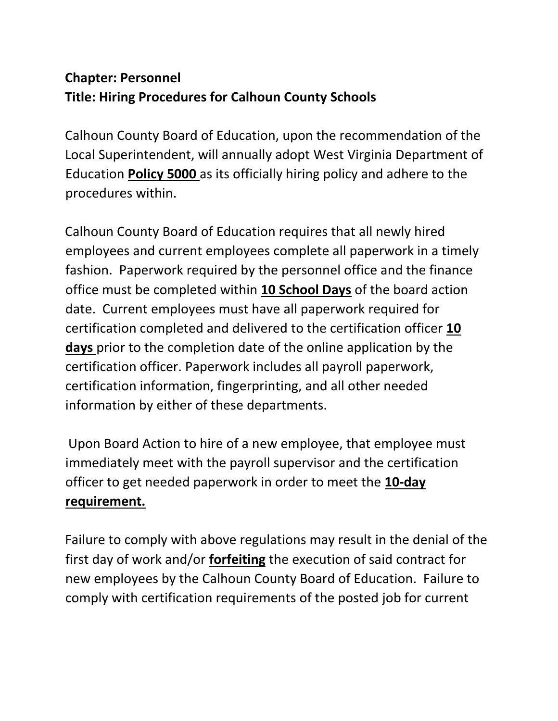## **Chapter: Personnel Title: Hiring Procedures for Calhoun County Schools**

Calhoun County Board of Education, upon the recommendation of the Local Superintendent, will annually adopt West Virginia Department of Education **Policy 5000** as its officially hiring policy and adhere to the procedures within.

Calhoun County Board of Education requires that all newly hired employees and current employees complete all paperwork in a timely fashion. Paperwork required by the personnel office and the finance office must be completed within **10 School Days** of the board action date. Current employees must have all paperwork required for certification completed and delivered to the certification officer **10 days** prior to the completion date of the online application by the certification officer. Paperwork includes all payroll paperwork, certification information, fingerprinting, and all other needed information by either of these departments.

Upon Board Action to hire of a new employee, that employee must immediately meet with the payroll supervisor and the certification officer to get needed paperwork in order to meet the **10-day requirement.**

Failure to comply with above regulations may result in the denial of the first day of work and/or **forfeiting** the execution of said contract for new employees by the Calhoun County Board of Education. Failure to comply with certification requirements of the posted job for current